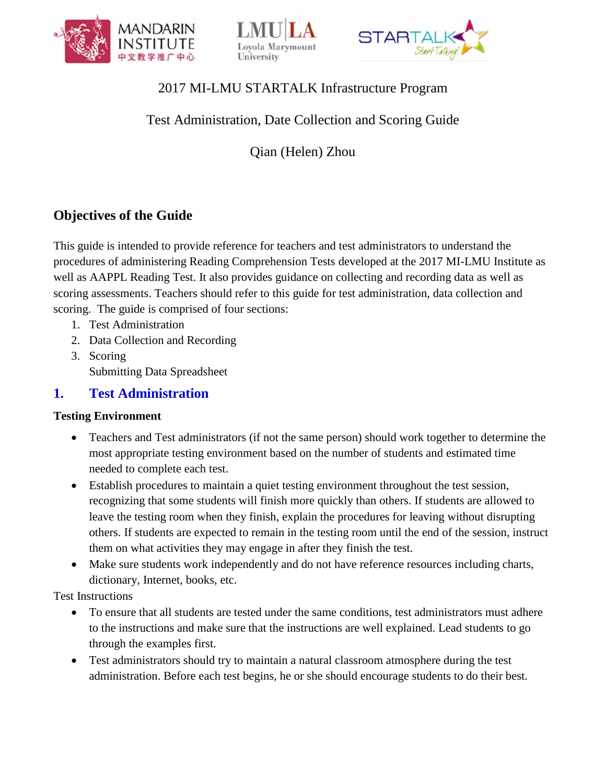





## 2017 MI-LMU STARTALK Infrastructure Program

## Test Administration, Date Collection and Scoring Guide

Qian (Helen) Zhou

# **Objectives of the Guide**

This guide is intended to provide reference for teachers and test administrators to understand the procedures of administering Reading Comprehension Tests developed at the 2017 MI-LMU Institute as well as AAPPL Reading Test. It also provides guidance on collecting and recording data as well as scoring assessments. Teachers should refer to this guide for test administration, data collection and scoring. The guide is comprised of four sections:

- 1. Test Administration
- 2. Data Collection and Recording
- 3. Scoring Submitting Data Spreadsheet

### **1. Test Administration**

#### **Testing Environment**

- Teachers and Test administrators (if not the same person) should work together to determine the most appropriate testing environment based on the number of students and estimated time needed to complete each test.
- Establish procedures to maintain a quiet testing environment throughout the test session, recognizing that some students will finish more quickly than others. If students are allowed to leave the testing room when they finish, explain the procedures for leaving without disrupting others. If students are expected to remain in the testing room until the end of the session, instruct them on what activities they may engage in after they finish the test.
- Make sure students work independently and do not have reference resources including charts, dictionary, Internet, books, etc.

Test Instructions

- To ensure that all students are tested under the same conditions, test administrators must adhere to the instructions and make sure that the instructions are well explained. Lead students to go through the examples first.
- Test administrators should try to maintain a natural classroom atmosphere during the test administration. Before each test begins, he or she should encourage students to do their best.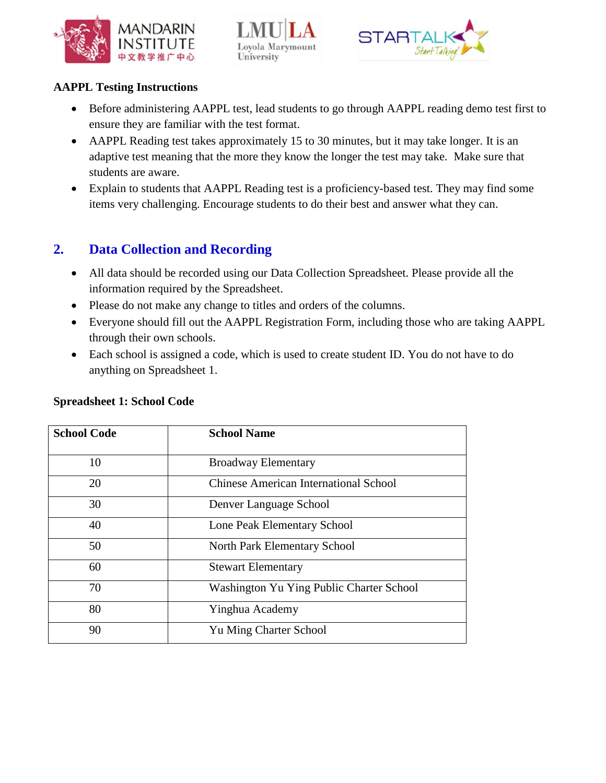





### **AAPPL Testing Instructions**

- Before administering AAPPL test, lead students to go through AAPPL reading demo test first to ensure they are familiar with the test format.
- AAPPL Reading test takes approximately 15 to 30 minutes, but it may take longer. It is an adaptive test meaning that the more they know the longer the test may take. Make sure that students are aware.
- Explain to students that AAPPL Reading test is a proficiency-based test. They may find some items very challenging. Encourage students to do their best and answer what they can.

## **2. Data Collection and Recording**

- All data should be recorded using our Data Collection Spreadsheet. Please provide all the information required by the Spreadsheet.
- Please do not make any change to titles and orders of the columns.
- Everyone should fill out the AAPPL Registration Form, including those who are taking AAPPL through their own schools.
- Each school is assigned a code, which is used to create student ID. You do not have to do anything on Spreadsheet 1.

| <b>School Code</b> | <b>School Name</b>                           |  |
|--------------------|----------------------------------------------|--|
| 10                 | <b>Broadway Elementary</b>                   |  |
| 20                 | <b>Chinese American International School</b> |  |
| 30                 | Denver Language School                       |  |
| 40                 | Lone Peak Elementary School                  |  |
| 50                 | North Park Elementary School                 |  |
| 60                 | <b>Stewart Elementary</b>                    |  |
| 70                 | Washington Yu Ying Public Charter School     |  |
| 80                 | Yinghua Academy                              |  |
| 90                 | Yu Ming Charter School                       |  |

#### **Spreadsheet 1: School Code**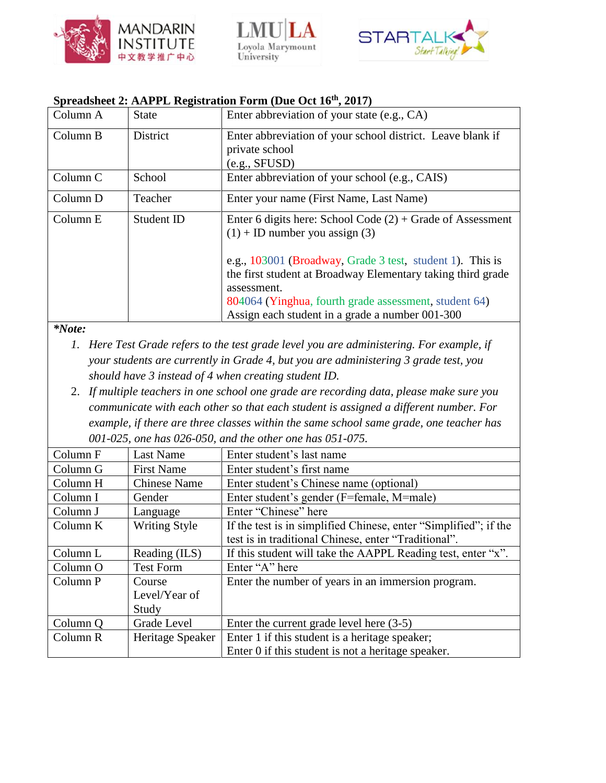





### **Spreadsheet 2: AAPPL Registration Form (Due Oct 16th, 2017)**

| Column A | <b>State</b> | Enter abbreviation of your state (e.g., CA)                                                      |  |
|----------|--------------|--------------------------------------------------------------------------------------------------|--|
| Column B | District     | Enter abbreviation of your school district. Leave blank if<br>private school                     |  |
|          |              | (e.g., SFUSD)                                                                                    |  |
| Column C | School       | Enter abbreviation of your school (e.g., CAIS)                                                   |  |
| Column D | Teacher      | Enter your name (First Name, Last Name)                                                          |  |
| Column E | Student ID   | Enter 6 digits here: School Code $(2)$ + Grade of Assessment<br>$(1)$ + ID number you assign (3) |  |
|          |              | e.g., 103001 (Broadway, Grade 3 test, student 1). This is                                        |  |
|          |              | the first student at Broadway Elementary taking third grade                                      |  |
|          |              | assessment.                                                                                      |  |
|          |              | 804064 (Yinghua, fourth grade assessment, student 64)                                            |  |
|          |              | Assign each student in a grade a number 001-300                                                  |  |

#### *\*Note:*

- *1. Here Test Grade refers to the test grade level you are administering. For example, if your students are currently in Grade 4, but you are administering 3 grade test, you should have 3 instead of 4 when creating student ID.*
- 2. *If multiple teachers in one school one grade are recording data, please make sure you communicate with each other so that each student is assigned a different number. For example, if there are three classes within the same school same grade, one teacher has 001-025, one has 026-050, and the other one has 051-075.*

| Column F | <b>Last Name</b>     | Enter student's last name                                        |  |
|----------|----------------------|------------------------------------------------------------------|--|
| Column G | <b>First Name</b>    | Enter student's first name                                       |  |
| Column H | <b>Chinese Name</b>  | Enter student's Chinese name (optional)                          |  |
| Column I | Gender               | Enter student's gender (F=female, M=male)                        |  |
| Column J | Language             | Enter "Chinese" here                                             |  |
| Column K | <b>Writing Style</b> | If the test is in simplified Chinese, enter "Simplified"; if the |  |
|          |                      | test is in traditional Chinese, enter "Traditional".             |  |
| Column L | Reading (ILS)        | If this student will take the AAPPL Reading test, enter "x".     |  |
| Column O | <b>Test Form</b>     | Enter "A" here                                                   |  |
| Column P | Course               | Enter the number of years in an immersion program.               |  |
|          | Level/Year of        |                                                                  |  |
|          | Study                |                                                                  |  |
| Column Q | Grade Level          | Enter the current grade level here $(3-5)$                       |  |
| Column R | Heritage Speaker     | Enter 1 if this student is a heritage speaker;                   |  |
|          |                      | Enter 0 if this student is not a heritage speaker.               |  |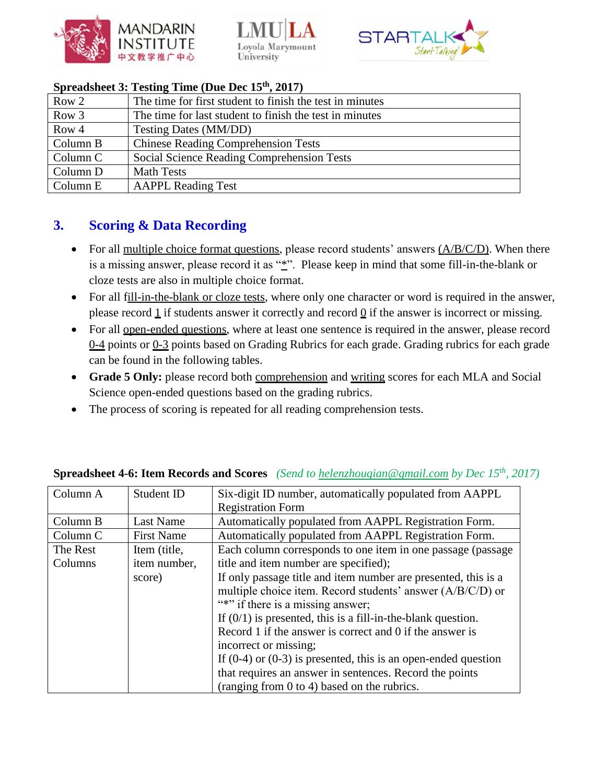





### **Spreadsheet 3: Testing Time (Due Dec 15th, 2017)**

| Row 2    | The time for first student to finish the test in minutes |
|----------|----------------------------------------------------------|
| Row 3    | The time for last student to finish the test in minutes  |
| Row 4    | Testing Dates (MM/DD)                                    |
| Column B | <b>Chinese Reading Comprehension Tests</b>               |
| Column C | Social Science Reading Comprehension Tests               |
| Column D | <b>Math Tests</b>                                        |
| Column E | <b>AAPPL Reading Test</b>                                |

## **3. Scoring & Data Recording**

- For all multiple choice format questions, please record students' answers  $(A/B/C/D)$ . When there is a missing answer, please record it as "\*". Please keep in mind that some fill-in-the-blank or cloze tests are also in multiple choice format.
- For all fill-in-the-blank or cloze tests, where only one character or word is required in the answer, please record  $1$  if students answer it correctly and record  $0$  if the answer is incorrect or missing.
- For all open-ended questions, where at least one sentence is required in the answer, please record 0-4 points or 0-3 points based on Grading Rubrics for each grade. Grading rubrics for each grade can be found in the following tables.
- **Grade 5 Only:** please record both comprehension and writing scores for each MLA and Social Science open-ended questions based on the grading rubrics.
- The process of scoring is repeated for all reading comprehension tests.

| Column A | Student ID        | Six-digit ID number, automatically populated from AAPPL            |  |
|----------|-------------------|--------------------------------------------------------------------|--|
|          |                   | <b>Registration Form</b>                                           |  |
| Column B | Last Name         | Automatically populated from AAPPL Registration Form.              |  |
| Column C | <b>First Name</b> | Automatically populated from AAPPL Registration Form.              |  |
| The Rest | Item (title,      | Each column corresponds to one item in one passage (passage)       |  |
| Columns  | item number,      | title and item number are specified);                              |  |
|          | score)            | If only passage title and item number are presented, this is a     |  |
|          |                   | multiple choice item. Record students' answer (A/B/C/D) or         |  |
|          |                   | "*" if there is a missing answer;                                  |  |
|          |                   | If $(0/1)$ is presented, this is a fill-in-the-blank question.     |  |
|          |                   | Record 1 if the answer is correct and 0 if the answer is           |  |
|          |                   | incorrect or missing;                                              |  |
|          |                   | If $(0-4)$ or $(0-3)$ is presented, this is an open-ended question |  |
|          |                   | that requires an answer in sentences. Record the points            |  |
|          |                   | (ranging from $0$ to $4$ ) based on the rubrics.                   |  |

### **Spreadsheet 4-6: Item Records and Scores** *(Send to [helenzhouqian@gmail.com](mailto:helenzhouqian@gmail.com) by Dec 15th, 2017)*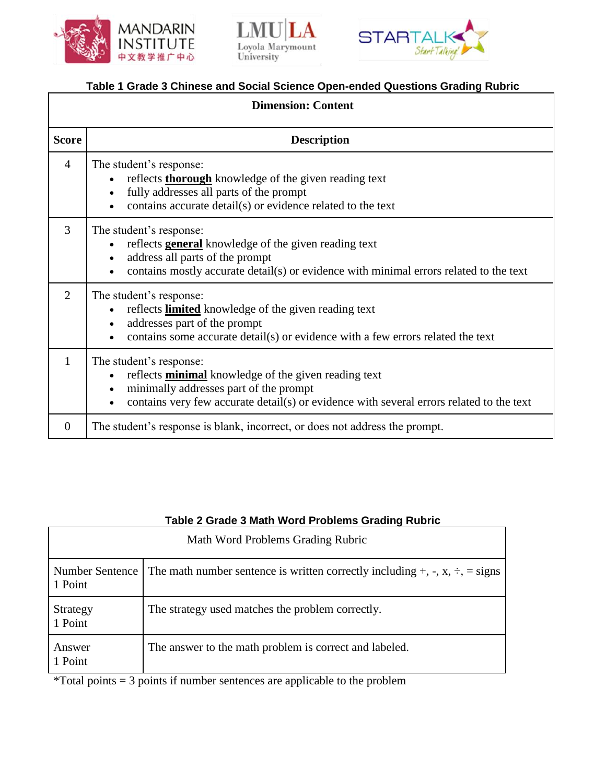





### **Table 1 Grade 3 Chinese and Social Science Open-ended Questions Grading Rubric**

| <b>Dimension: Content</b> |                                                                                                                                                                                                                                                                     |  |  |
|---------------------------|---------------------------------------------------------------------------------------------------------------------------------------------------------------------------------------------------------------------------------------------------------------------|--|--|
| <b>Score</b>              | <b>Description</b>                                                                                                                                                                                                                                                  |  |  |
| $\overline{4}$            | The student's response:<br>reflects <b>thorough</b> knowledge of the given reading text<br>fully addresses all parts of the prompt<br>$\bullet$<br>contains accurate detail(s) or evidence related to the text                                                      |  |  |
| $\overline{3}$            | The student's response:<br>reflects <b>general</b> knowledge of the given reading text<br>address all parts of the prompt<br>$\bullet$<br>contains mostly accurate detail(s) or evidence with minimal errors related to the text                                    |  |  |
| $\overline{2}$            | The student's response:<br>reflects <b>limited</b> knowledge of the given reading text<br>addresses part of the prompt<br>$\bullet$<br>contains some accurate detail(s) or evidence with a few errors related the text<br>$\bullet$                                 |  |  |
| 1                         | The student's response:<br>reflects <b>minimal</b> knowledge of the given reading text<br>$\bullet$<br>minimally addresses part of the prompt<br>$\bullet$<br>contains very few accurate detail(s) or evidence with several errors related to the text<br>$\bullet$ |  |  |
| $\theta$                  | The student's response is blank, incorrect, or does not address the prompt.                                                                                                                                                                                         |  |  |

| Table 2 Grade 3 Math Word Problems Grading Rubric |                                                                                              |  |  |
|---------------------------------------------------|----------------------------------------------------------------------------------------------|--|--|
| Math Word Problems Grading Rubric                 |                                                                                              |  |  |
| Number Sentence<br>1 Point                        | The math number sentence is written correctly including $+$ , $-$ , $x$ , $\div$ , $=$ signs |  |  |
| Strategy<br>1 Point                               | The strategy used matches the problem correctly.                                             |  |  |
| Answer<br>1 Point                                 | The answer to the math problem is correct and labeled.                                       |  |  |

#### **Table 2 Grade 3 Math Word Problems Grading Rubric**

\*Total points = 3 points if number sentences are applicable to the problem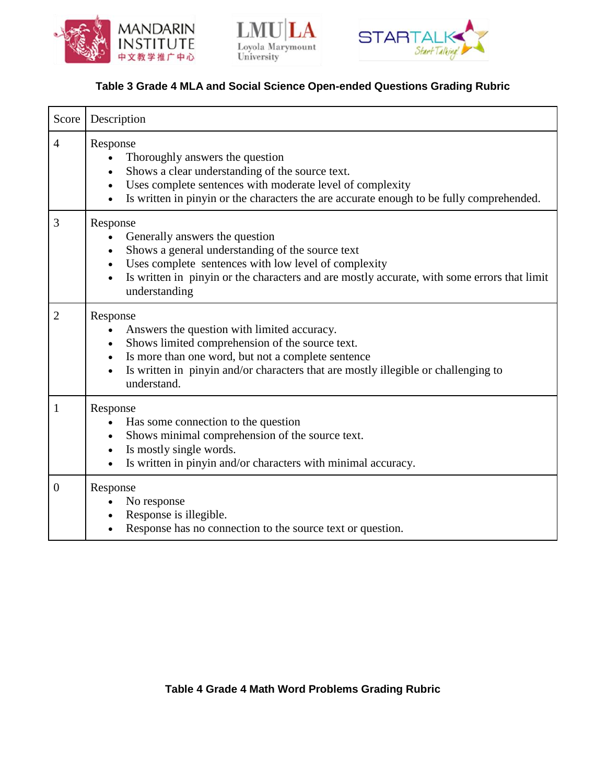





### **Table 3 Grade 4 MLA and Social Science Open-ended Questions Grading Rubric**

| Score          | Description                                                                                                                                                                                                                                                                                                   |
|----------------|---------------------------------------------------------------------------------------------------------------------------------------------------------------------------------------------------------------------------------------------------------------------------------------------------------------|
| $\overline{4}$ | Response<br>Thoroughly answers the question<br>Shows a clear understanding of the source text.<br>Uses complete sentences with moderate level of complexity<br>$\bullet$<br>Is written in pinyin or the characters the are accurate enough to be fully comprehended.                                          |
| 3              | Response<br>Generally answers the question<br>Shows a general understanding of the source text<br>$\bullet$<br>Uses complete sentences with low level of complexity<br>$\bullet$<br>Is written in pinyin or the characters and are mostly accurate, with some errors that limit<br>$\bullet$<br>understanding |
| $\overline{2}$ | Response<br>Answers the question with limited accuracy.<br>$\bullet$<br>Shows limited comprehension of the source text.<br>Is more than one word, but not a complete sentence<br>$\bullet$<br>Is written in pinyin and/or characters that are mostly illegible or challenging to<br>$\bullet$<br>understand.  |
| $\mathbf{1}$   | Response<br>Has some connection to the question<br>Shows minimal comprehension of the source text.<br>$\bullet$<br>Is mostly single words.<br>$\bullet$<br>Is written in pinyin and/or characters with minimal accuracy.                                                                                      |
| $\overline{0}$ | Response<br>No response<br>Response is illegible.<br>Response has no connection to the source text or question.                                                                                                                                                                                               |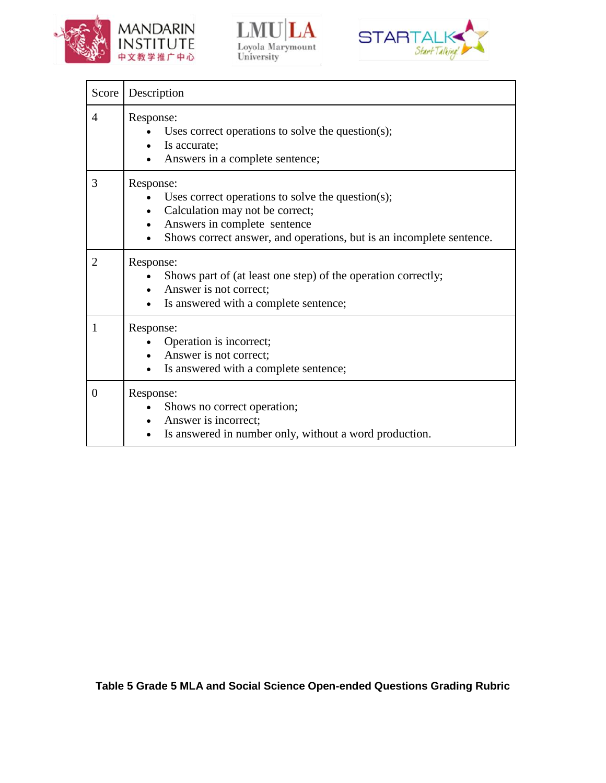





| Score          | Description                                                                                                                                                                                               |  |  |
|----------------|-----------------------------------------------------------------------------------------------------------------------------------------------------------------------------------------------------------|--|--|
| 4              | Response:<br>Uses correct operations to solve the question(s);<br>Is accurate;<br>$\bullet$<br>Answers in a complete sentence;                                                                            |  |  |
| 3              | Response:<br>Uses correct operations to solve the question(s);<br>Calculation may not be correct;<br>Answers in complete sentence<br>Shows correct answer, and operations, but is an incomplete sentence. |  |  |
| $\overline{2}$ | Response:<br>Shows part of (at least one step) of the operation correctly;<br>Answer is not correct;<br>$\bullet$<br>Is answered with a complete sentence;                                                |  |  |
| 1              | Response:<br>Operation is incorrect;<br>Answer is not correct;<br>Is answered with a complete sentence;                                                                                                   |  |  |
| $\overline{0}$ | Response:<br>Shows no correct operation;<br>• Answer is incorrect;<br>Is answered in number only, without a word production.<br>$\bullet$                                                                 |  |  |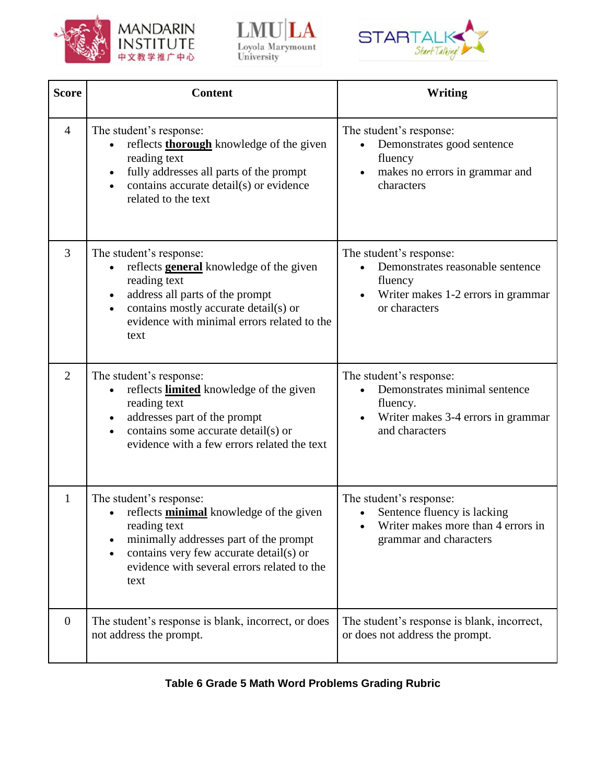





| <b>Score</b>   | <b>Content</b>                                                                                                                                                                                                                                                      | Writing                                                                                                                       |
|----------------|---------------------------------------------------------------------------------------------------------------------------------------------------------------------------------------------------------------------------------------------------------------------|-------------------------------------------------------------------------------------------------------------------------------|
| $\overline{4}$ | The student's response:<br>reflects <b>thorough</b> knowledge of the given<br>reading text<br>fully addresses all parts of the prompt<br>$\bullet$<br>contains accurate detail(s) or evidence<br>related to the text                                                | The student's response:<br>Demonstrates good sentence<br>fluency<br>makes no errors in grammar and<br>characters              |
| 3              | The student's response:<br>reflects <b>general</b> knowledge of the given<br>$\bullet$<br>reading text<br>address all parts of the prompt<br>$\bullet$<br>contains mostly accurate detail(s) or<br>$\bullet$<br>evidence with minimal errors related to the<br>text | The student's response:<br>Demonstrates reasonable sentence<br>fluency<br>Writer makes 1-2 errors in grammar<br>or characters |
| $\overline{2}$ | The student's response:<br>reflects <b>limited</b> knowledge of the given<br>reading text<br>addresses part of the prompt<br>$\bullet$<br>contains some accurate detail(s) or<br>$\bullet$<br>evidence with a few errors related the text                           | The student's response:<br>Demonstrates minimal sentence<br>fluency.<br>Writer makes 3-4 errors in grammar<br>and characters  |
| $\mathbf{1}$   | The student's response:<br>reflects <b>minimal</b> knowledge of the given<br>reading text<br>minimally addresses part of the prompt<br>contains very few accurate detail(s) or<br>$\bullet$<br>evidence with several errors related to the<br>text                  | The student's response:<br>Sentence fluency is lacking<br>Writer makes more than 4 errors in<br>grammar and characters        |
| $\overline{0}$ | The student's response is blank, incorrect, or does<br>not address the prompt.                                                                                                                                                                                      | The student's response is blank, incorrect,<br>or does not address the prompt.                                                |

**Table 6 Grade 5 Math Word Problems Grading Rubric**